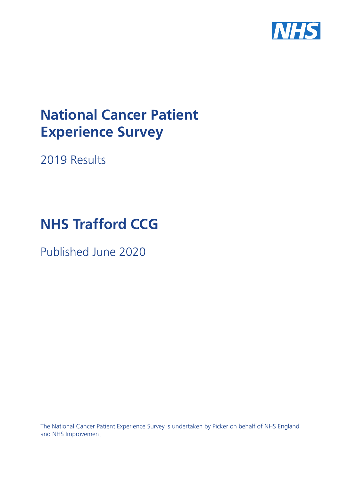

# **National Cancer Patient Experience Survey**

2019 Results

# **NHS Trafford CCG**

Published June 2020

The National Cancer Patient Experience Survey is undertaken by Picker on behalf of NHS England and NHS Improvement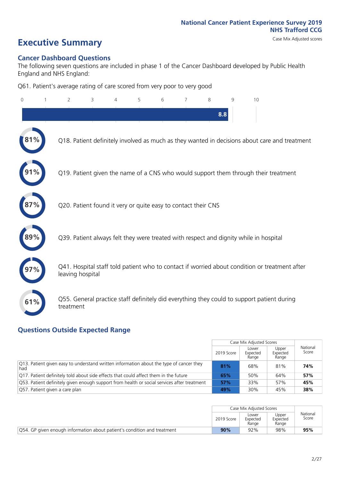# **Executive Summary** Case Mix Adjusted scores

#### **Cancer Dashboard Questions**

The following seven questions are included in phase 1 of the Cancer Dashboard developed by Public Health England and NHS England:

Q61. Patient's average rating of care scored from very poor to very good

| 0          | $\overline{2}$                                                | 3 | 4 | 5 | 6 | 7 | 8   | 9 | 10                                                                                            |
|------------|---------------------------------------------------------------|---|---|---|---|---|-----|---|-----------------------------------------------------------------------------------------------|
|            |                                                               |   |   |   |   |   | 8.8 |   |                                                                                               |
| $81\%$     |                                                               |   |   |   |   |   |     |   | Q18. Patient definitely involved as much as they wanted in decisions about care and treatment |
|            |                                                               |   |   |   |   |   |     |   | Q19. Patient given the name of a CNS who would support them through their treatment           |
|            | Q20. Patient found it very or quite easy to contact their CNS |   |   |   |   |   |     |   |                                                                                               |
| $\bf 89\%$ |                                                               |   |   |   |   |   |     |   | Q39. Patient always felt they were treated with respect and dignity while in hospital         |
|            | leaving hospital                                              |   |   |   |   |   |     |   | Q41. Hospital staff told patient who to contact if worried about condition or treatment after |
| 61%        | treatment                                                     |   |   |   |   |   |     |   | Q55. General practice staff definitely did everything they could to support patient during    |

#### **Questions Outside Expected Range**

|                                                                                                |            | Case Mix Adjusted Scores   |                            |                   |
|------------------------------------------------------------------------------------------------|------------|----------------------------|----------------------------|-------------------|
|                                                                                                | 2019 Score | Lower<br>Expected<br>Range | Upper<br>Expected<br>Range | National<br>Score |
| Q13. Patient given easy to understand written information about the type of cancer they<br>had | 81%        | 68%                        | 81%                        | 74%               |
| $\sqrt{Q}$ 17. Patient definitely told about side effects that could affect them in the future | 65%        | 50%                        | 64%                        | 57%               |
| Q53. Patient definitely given enough support from health or social services after treatment    | 57%        | 33%                        | 57%                        | 45%               |
| Q57. Patient given a care plan                                                                 | 49%        | 30%                        | 45%                        | 38%               |

|                                                                          |            | Case Mix Adiusted Scores   |                            |                   |
|--------------------------------------------------------------------------|------------|----------------------------|----------------------------|-------------------|
|                                                                          | 2019 Score | Lower<br>Expected<br>Range | Upper<br>Expected<br>Range | National<br>Score |
| 054. GP given enough information about patient's condition and treatment | 90%        | 92%                        | 98%                        | 95%               |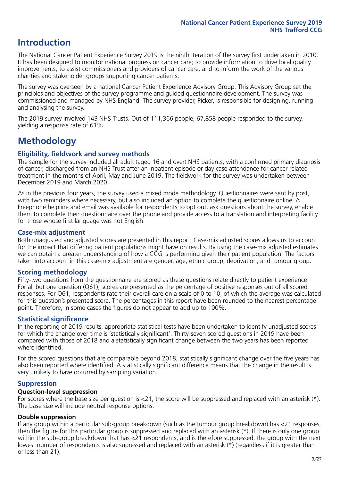# **Introduction**

The National Cancer Patient Experience Survey 2019 is the ninth iteration of the survey first undertaken in 2010. It has been designed to monitor national progress on cancer care; to provide information to drive local quality improvements; to assist commissioners and providers of cancer care; and to inform the work of the various charities and stakeholder groups supporting cancer patients.

The survey was overseen by a national Cancer Patient Experience Advisory Group. This Advisory Group set the principles and objectives of the survey programme and guided questionnaire development. The survey was commissioned and managed by NHS England. The survey provider, Picker, is responsible for designing, running and analysing the survey.

The 2019 survey involved 143 NHS Trusts. Out of 111,366 people, 67,858 people responded to the survey, yielding a response rate of 61%.

# **Methodology**

#### **Eligibility, eldwork and survey methods**

The sample for the survey included all adult (aged 16 and over) NHS patients, with a confirmed primary diagnosis of cancer, discharged from an NHS Trust after an inpatient episode or day case attendance for cancer related treatment in the months of April, May and June 2019. The fieldwork for the survey was undertaken between December 2019 and March 2020.

As in the previous four years, the survey used a mixed mode methodology. Questionnaires were sent by post, with two reminders where necessary, but also included an option to complete the questionnaire online. A Freephone helpline and email was available for respondents to opt out, ask questions about the survey, enable them to complete their questionnaire over the phone and provide access to a translation and interpreting facility for those whose first language was not English.

#### **Case-mix adjustment**

Both unadjusted and adjusted scores are presented in this report. Case-mix adjusted scores allows us to account for the impact that differing patient populations might have on results. By using the case-mix adjusted estimates we can obtain a greater understanding of how a CCG is performing given their patient population. The factors taken into account in this case-mix adjustment are gender, age, ethnic group, deprivation, and tumour group.

#### **Scoring methodology**

Fifty-two questions from the questionnaire are scored as these questions relate directly to patient experience. For all but one question (Q61), scores are presented as the percentage of positive responses out of all scored responses. For Q61, respondents rate their overall care on a scale of 0 to 10, of which the average was calculated for this question's presented score. The percentages in this report have been rounded to the nearest percentage point. Therefore, in some cases the figures do not appear to add up to 100%.

#### **Statistical significance**

In the reporting of 2019 results, appropriate statistical tests have been undertaken to identify unadjusted scores for which the change over time is 'statistically significant'. Thirty-seven scored questions in 2019 have been compared with those of 2018 and a statistically significant change between the two years has been reported where identified.

For the scored questions that are comparable beyond 2018, statistically significant change over the five years has also been reported where identified. A statistically significant difference means that the change in the result is very unlikely to have occurred by sampling variation.

#### **Suppression**

#### **Question-level suppression**

For scores where the base size per question is  $<$ 21, the score will be suppressed and replaced with an asterisk (\*). The base size will include neutral response options.

#### **Double suppression**

If any group within a particular sub-group breakdown (such as the tumour group breakdown) has <21 responses, then the figure for this particular group is suppressed and replaced with an asterisk (\*). If there is only one group within the sub-group breakdown that has <21 respondents, and is therefore suppressed, the group with the next lowest number of respondents is also supressed and replaced with an asterisk (\*) (regardless if it is greater than or less than 21).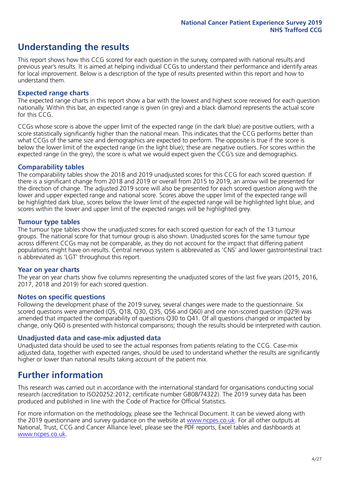# **Understanding the results**

This report shows how this CCG scored for each question in the survey, compared with national results and previous year's results. It is aimed at helping individual CCGs to understand their performance and identify areas for local improvement. Below is a description of the type of results presented within this report and how to understand them.

#### **Expected range charts**

The expected range charts in this report show a bar with the lowest and highest score received for each question nationally. Within this bar, an expected range is given (in grey) and a black diamond represents the actual score for this CCG.

CCGs whose score is above the upper limit of the expected range (in the dark blue) are positive outliers, with a score statistically significantly higher than the national mean. This indicates that the CCG performs better than what CCGs of the same size and demographics are expected to perform. The opposite is true if the score is below the lower limit of the expected range (in the light blue); these are negative outliers. For scores within the expected range (in the grey), the score is what we would expect given the CCG's size and demographics.

#### **Comparability tables**

The comparability tables show the 2018 and 2019 unadjusted scores for this CCG for each scored question. If there is a significant change from 2018 and 2019 or overall from 2015 to 2019, an arrow will be presented for the direction of change. The adjusted 2019 score will also be presented for each scored question along with the lower and upper expected range and national score. Scores above the upper limit of the expected range will be highlighted dark blue, scores below the lower limit of the expected range will be highlighted light blue, and scores within the lower and upper limit of the expected ranges will be highlighted grey.

#### **Tumour type tables**

The tumour type tables show the unadjusted scores for each scored question for each of the 13 tumour groups. The national score for that tumour group is also shown. Unadjusted scores for the same tumour type across different CCGs may not be comparable, as they do not account for the impact that differing patient populations might have on results. Central nervous system is abbreviated as 'CNS' and lower gastrointestinal tract is abbreviated as 'LGT' throughout this report.

#### **Year on year charts**

The year on year charts show five columns representing the unadjusted scores of the last five years (2015, 2016, 2017, 2018 and 2019) for each scored question.

#### **Notes on specific questions**

Following the development phase of the 2019 survey, several changes were made to the questionnaire. Six scored questions were amended (Q5, Q18, Q30, Q35, Q56 and Q60) and one non-scored question (Q29) was amended that impacted the comparability of questions Q30 to Q41. Of all questions changed or impacted by change, only Q60 is presented with historical comparisons; though the results should be interpreted with caution.

#### **Unadjusted data and case-mix adjusted data**

Unadjusted data should be used to see the actual responses from patients relating to the CCG. Case-mix adjusted data, together with expected ranges, should be used to understand whether the results are significantly higher or lower than national results taking account of the patient mix.

### **Further information**

This research was carried out in accordance with the international standard for organisations conducting social research (accreditation to ISO20252:2012; certificate number GB08/74322). The 2019 survey data has been produced and published in line with the Code of Practice for Official Statistics.

For more information on the methodology, please see the Technical Document. It can be viewed along with the 2019 questionnaire and survey quidance on the website at [www.ncpes.co.uk](https://www.ncpes.co.uk/supporting-documents). For all other outputs at National, Trust, CCG and Cancer Alliance level, please see the PDF reports, Excel tables and dashboards at [www.ncpes.co.uk.](https://www.ncpes.co.uk/current-results)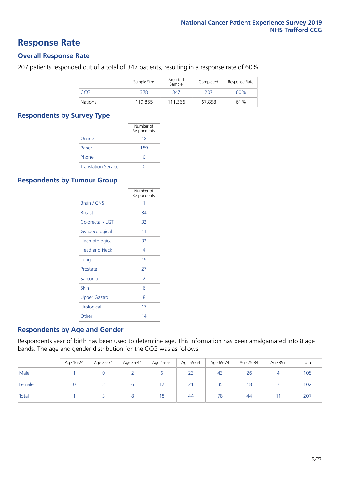### **Response Rate**

#### **Overall Response Rate**

207 patients responded out of a total of 347 patients, resulting in a response rate of 60%.

|            | Sample Size | Adjusted<br>Sample | Completed | Response Rate |
|------------|-------------|--------------------|-----------|---------------|
| <b>CCG</b> | 378         | 347                | 207       | 60%           |
| National   | 119.855     | 111.366            | 67.858    | 61%           |

#### **Respondents by Survey Type**

|                            | Number of<br>Respondents |
|----------------------------|--------------------------|
| Online                     | 18                       |
| Paper                      | 189                      |
| Phone                      | O                        |
| <b>Translation Service</b> |                          |

#### **Respondents by Tumour Group**

|                      | Number of<br>Respondents |
|----------------------|--------------------------|
| Brain / CNS          | 1                        |
| <b>Breast</b>        | 34                       |
| Colorectal / LGT     | 32                       |
| Gynaecological       | 11                       |
| Haematological       | 32                       |
| <b>Head and Neck</b> | 4                        |
| Lung                 | 19                       |
| Prostate             | 27                       |
| Sarcoma              | $\mathcal{P}$            |
| Skin                 | 6                        |
| <b>Upper Gastro</b>  | 8                        |
| Urological           | 17                       |
| Other                | 14                       |

#### **Respondents by Age and Gender**

Respondents year of birth has been used to determine age. This information has been amalgamated into 8 age bands. The age and gender distribution for the CCG was as follows:

|        | Age 16-24 | Age 25-34 | Age 35-44 | Age 45-54 | Age 55-64 | Age 65-74 | Age 75-84 | Age 85+ | Total |
|--------|-----------|-----------|-----------|-----------|-----------|-----------|-----------|---------|-------|
| Male   |           |           |           |           | 23        | 43        | 26        |         | 105   |
| Female |           |           | ь         | 12        | 21        | 35        | 18        |         | 102   |
| Total  |           |           |           | 18        | 44        | 78        | 44        |         | 207   |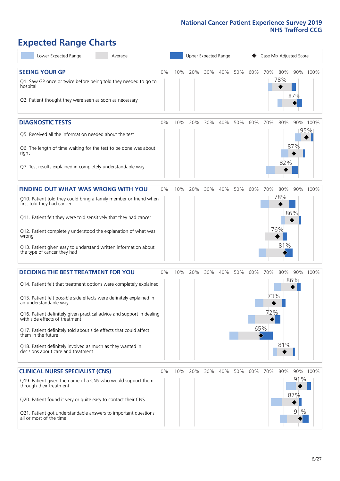# **Expected Range Charts**

| Lower Expected Range<br>Average                                                                                                        |       |     |     | Upper Expected Range |         |     |     | Case Mix Adjusted Score |     |            |                 |
|----------------------------------------------------------------------------------------------------------------------------------------|-------|-----|-----|----------------------|---------|-----|-----|-------------------------|-----|------------|-----------------|
| <b>SEEING YOUR GP</b>                                                                                                                  | 0%    | 10% | 20% |                      | 30% 40% | 50% | 60% | 70% 80%                 |     |            | 90% 100%        |
| Q1. Saw GP once or twice before being told they needed to go to<br>hospital<br>Q2. Patient thought they were seen as soon as necessary |       |     |     |                      |         |     |     |                         | 78% | 87%        |                 |
|                                                                                                                                        |       |     |     |                      |         |     |     |                         |     |            |                 |
| <b>DIAGNOSTIC TESTS</b>                                                                                                                | 0%    | 10% | 20% | 30%                  | 40%     | 50% | 60% | 70%                     | 80% |            | 90% 100%<br>95% |
| Q5. Received all the information needed about the test                                                                                 |       |     |     |                      |         |     |     |                         |     |            |                 |
| Q6. The length of time waiting for the test to be done was about<br>right                                                              |       |     |     |                      |         |     |     |                         | 82% | 87%        |                 |
| Q7. Test results explained in completely understandable way                                                                            |       |     |     |                      |         |     |     |                         |     |            |                 |
| <b>FINDING OUT WHAT WAS WRONG WITH YOU</b>                                                                                             | $0\%$ | 10% | 20% | 30%                  | 40%     | 50% | 60% | 70%                     | 80% |            | 90% 100%        |
| Q10. Patient told they could bring a family member or friend when<br>first told they had cancer                                        |       |     |     |                      |         |     |     |                         | 78% |            |                 |
| Q11. Patient felt they were told sensitively that they had cancer                                                                      |       |     |     |                      |         |     |     |                         |     | 86%        |                 |
| Q12. Patient completely understood the explanation of what was<br>wrong                                                                |       |     |     |                      |         |     |     |                         | 76% |            |                 |
| Q13. Patient given easy to understand written information about<br>the type of cancer they had                                         |       |     |     |                      |         |     |     |                         | 81% |            |                 |
| <b>DECIDING THE BEST TREATMENT FOR YOU</b>                                                                                             | 0%    | 10% | 20% | 30%                  | 40%     | 50% | 60% | 70%                     | 80% | 90%        | 100%            |
| Q14. Patient felt that treatment options were completely explained                                                                     |       |     |     |                      |         |     |     |                         |     | 86%        |                 |
| Q15. Patient felt possible side effects were definitely explained in<br>an understandable way                                          |       |     |     |                      |         |     |     | 73%                     |     |            |                 |
| Q16. Patient definitely given practical advice and support in dealing<br>with side effects of treatment                                |       |     |     |                      |         |     |     | 72%                     |     |            |                 |
| Q17. Patient definitely told about side effects that could affect<br>them in the future                                                |       |     |     |                      |         |     |     | 65%                     |     |            |                 |
| Q18. Patient definitely involved as much as they wanted in<br>decisions about care and treatment                                       |       |     |     |                      |         |     |     |                         | 81% |            |                 |
| <b>CLINICAL NURSE SPECIALIST (CNS)</b>                                                                                                 | 0%    | 10% | 20% | 30%                  | 40%     | 50% | 60% | 70%                     | 80% |            | 90% 100%        |
| Q19. Patient given the name of a CNS who would support them<br>through their treatment                                                 |       |     |     |                      |         |     |     |                         |     | 91%<br>87% |                 |
| Q20. Patient found it very or quite easy to contact their CNS                                                                          |       |     |     |                      |         |     |     |                         |     |            |                 |
| Q21. Patient got understandable answers to important questions<br>all or most of the time                                              |       |     |     |                      |         |     |     |                         |     | 91%        |                 |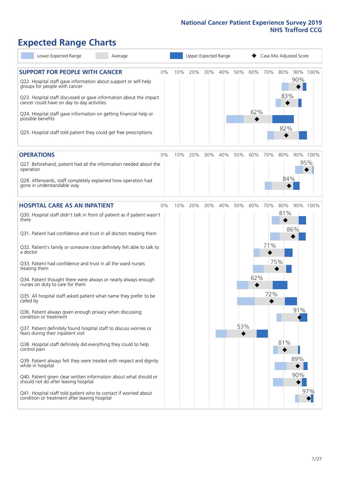# **Expected Range Charts**

| Lower Expected Range<br>Average                                                                                                                                                                            |    | Upper Expected Range |         |     |     |          |          | Case Mix Adjusted Score |            |     |          |  |  |
|------------------------------------------------------------------------------------------------------------------------------------------------------------------------------------------------------------|----|----------------------|---------|-----|-----|----------|----------|-------------------------|------------|-----|----------|--|--|
| <b>SUPPORT FOR PEOPLE WITH CANCER</b><br>Q22. Hospital staff gave information about support or self-help<br>groups for people with cancer                                                                  | 0% | 10%                  | 20%     | 30% | 40% | 50%      | 60%      | 70%                     | 80%<br>83% | 90% | 90% 100% |  |  |
| Q23. Hospital staff discussed or gave information about the impact<br>cancer could have on day to day activities<br>Q24. Hospital staff gave information on getting financial help or<br>possible benefits |    |                      |         |     |     |          | 62%      |                         |            |     |          |  |  |
| Q25. Hospital staff told patient they could get free prescriptions                                                                                                                                         |    |                      |         |     |     |          |          |                         | 82%        |     |          |  |  |
| <b>OPERATIONS</b>                                                                                                                                                                                          | 0% | 10%                  | 20%     | 30% | 40% | 50%      | 60%      | 70%                     | 80%        |     | 90% 100% |  |  |
| Q27. Beforehand, patient had all the information needed about the<br>operation                                                                                                                             |    |                      |         |     |     |          |          |                         |            |     | 95%      |  |  |
| Q28. Afterwards, staff completely explained how operation had<br>gone in understandable way                                                                                                                |    |                      |         |     |     |          |          |                         | 84%        |     |          |  |  |
| <b>HOSPITAL CARE AS AN INPATIENT</b>                                                                                                                                                                       | 0% |                      | 10% 20% | 30% | 40% | 50%      | 60%      | 70%                     | 80%        |     | 90% 100% |  |  |
| Q30. Hospital staff didn't talk in front of patient as if patient wasn't<br>there                                                                                                                          |    |                      |         |     |     |          |          |                         | 81%        |     |          |  |  |
| Q31. Patient had confidence and trust in all doctors treating them                                                                                                                                         |    |                      |         |     |     |          |          |                         |            | 86% |          |  |  |
| Q32. Patient's family or someone close definitely felt able to talk to<br>a doctor                                                                                                                         |    |                      |         |     |     |          |          | 71%                     |            |     |          |  |  |
| Q33. Patient had confidence and trust in all the ward nurses<br>treating them                                                                                                                              |    |                      |         |     |     |          |          |                         | 75%        |     |          |  |  |
| Q34. Patient thought there were always or nearly always enough<br>nurses on duty to care for them                                                                                                          |    |                      |         |     |     |          | 62%<br>♦ |                         |            |     |          |  |  |
| Q35. All hospital staff asked patient what name they prefer to be<br>called by                                                                                                                             |    |                      |         |     |     |          |          | 72%                     |            |     |          |  |  |
| Q36. Patient always given enough privacy when discussing<br>condition or treatment                                                                                                                         |    |                      |         |     |     |          |          |                         |            | 91% |          |  |  |
| Q37. Patient definitely found hospital staff to discuss worries or<br>fears during their inpatient visit                                                                                                   |    |                      |         |     |     | 53%<br>◆ |          |                         |            |     |          |  |  |
| Q38. Hospital staff definitely did everything they could to help<br>control pain                                                                                                                           |    |                      |         |     |     |          |          |                         | 81%        |     |          |  |  |
| Q39. Patient always felt they were treated with respect and dignity<br>while in hospital                                                                                                                   |    |                      |         |     |     |          |          |                         |            | 89% |          |  |  |
| Q40. Patient given clear written information about what should or<br>should not do after leaving hospital                                                                                                  |    |                      |         |     |     |          |          |                         |            | 90% |          |  |  |
| Q41. Hospital staff told patient who to contact if worried about<br>condition or treatment after leaving hospital                                                                                          |    |                      |         |     |     |          |          |                         |            |     | 97%      |  |  |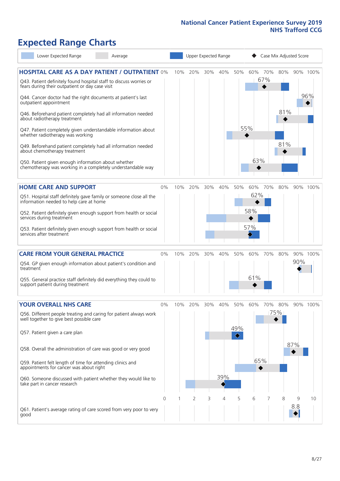# **Expected Range Charts**

| Lower Expected Range                                                                                                                                                                                                                                                                                                                                                                                                                                                                                                                                                                                                                    | Average |          | Upper Expected Range |     |     |            |                 | Case Mix Adjusted Score |     |                   |          |                 |  |  |
|-----------------------------------------------------------------------------------------------------------------------------------------------------------------------------------------------------------------------------------------------------------------------------------------------------------------------------------------------------------------------------------------------------------------------------------------------------------------------------------------------------------------------------------------------------------------------------------------------------------------------------------------|---------|----------|----------------------|-----|-----|------------|-----------------|-------------------------|-----|-------------------|----------|-----------------|--|--|
| <b>HOSPITAL CARE AS A DAY PATIENT / OUTPATIENT 0%</b><br>Q43. Patient definitely found hospital staff to discuss worries or<br>fears during their outpatient or day case visit<br>Q44. Cancer doctor had the right documents at patient's last<br>outpatient appointment<br>Q46. Beforehand patient completely had all information needed<br>about radiotherapy treatment<br>Q47. Patient completely given understandable information about<br>whether radiotherapy was working<br>Q49. Beforehand patient completely had all information needed<br>about chemotherapy treatment<br>Q50. Patient given enough information about whether |         |          | 10%                  | 20% | 30% | 40%        | 50%             | 60% 70%<br>55%<br>63%   | 67% | 80%<br>81%<br>81% |          | 90% 100%<br>96% |  |  |
| chemotherapy was working in a completely understandable way<br><b>HOME CARE AND SUPPORT</b>                                                                                                                                                                                                                                                                                                                                                                                                                                                                                                                                             |         | 0%       | 10%                  | 20% | 30% | 40%        | 50%             | 60%                     | 70% | 80%               |          | 90% 100%        |  |  |
| Q51. Hospital staff definitely gave family or someone close all the<br>information needed to help care at home<br>Q52. Patient definitely given enough support from health or social<br>services during treatment<br>Q53. Patient definitely given enough support from health or social<br>services after treatment                                                                                                                                                                                                                                                                                                                     |         |          |                      |     |     |            |                 | 62%<br>58%<br>57%       |     |                   |          |                 |  |  |
| <b>CARE FROM YOUR GENERAL PRACTICE</b><br>Q54. GP given enough information about patient's condition and<br>treatment<br>Q55. General practice staff definitely did everything they could to<br>support patient during treatment                                                                                                                                                                                                                                                                                                                                                                                                        |         | $0\%$    | 10%                  | 20% | 30% | 40%        | 50%             | 60%<br>61%              | 70% | 80%               | 90%      | 90% 100%        |  |  |
| <b>YOUR OVERALL NHS CARE</b><br>Q56. Different people treating and caring for patient always work<br>well together to give best possible care<br>Q57. Patient given a care plan<br>Q58. Overall the administration of care was good or very good<br>Q59. Patient felt length of time for attending clinics and<br>appointments for cancer was about right<br>Q60. Someone discussed with patient whether they would like to<br>take part in cancer research                                                                                                                                                                             |         | 0%       | 10%                  | 20% | 30% | 40%<br>39% | 50%<br>49%<br>♦ | 60%<br>65%<br>♦         | 70% | 80%<br>75%        | 87%      | 90% 100%        |  |  |
| Q61. Patient's average rating of care scored from very poor to very<br>good                                                                                                                                                                                                                                                                                                                                                                                                                                                                                                                                                             |         | $\Omega$ |                      | 2   | 3   | 4          | 5               | 6                       |     | 8                 | 9<br>8.8 | 10              |  |  |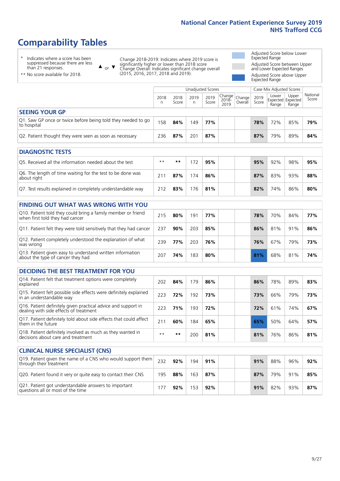# **Comparability Tables**

\* Indicates where a score has been suppressed because there are less than 21 responses.

\*\* No score available for 2018.

 $\triangle$  or  $\nabla$ 

Change 2018-2019: Indicates where 2019 score is significantly higher or lower than 2018 score Change Overall: Indicates significant change overall (2015, 2016, 2017, 2018 and 2019).

Adjusted Score below Lower Expected Range Adjusted Score between Upper and Lower Expected Ranges Adjusted Score above Upper Expected Range

|                                                                             | Case Mix Adjusted Scores<br>Unadjusted Scores |               |           |               |                                               |         |               |                |                                     |                   |
|-----------------------------------------------------------------------------|-----------------------------------------------|---------------|-----------|---------------|-----------------------------------------------|---------|---------------|----------------|-------------------------------------|-------------------|
|                                                                             | 2018<br>n                                     | 2018<br>Score | 2019<br>n | 2019<br>Score | $\sqrt{Change} _{Change}$<br>$2018 -$<br>2019 | Overall | 2019<br>Score | Lower<br>Range | Upper<br>Expected Expected<br>Range | National<br>Score |
| <b>SEEING YOUR GP</b>                                                       |                                               |               |           |               |                                               |         |               |                |                                     |                   |
| Q1. Saw GP once or twice before being told they needed to go<br>to hospital | 158                                           | 84%           | 149       | 77%           |                                               |         | 78%           | 72%            | 85%                                 | 79%               |
| Q2. Patient thought they were seen as soon as necessary                     | 236                                           | 87%           | 201       | 87%           |                                               |         | 87%           | 79%            | 89%                                 | 84%               |
| <b>DIAGNOSTIC TESTS</b>                                                     |                                               |               |           |               |                                               |         |               |                |                                     |                   |

| O5. Received all the information needed about the test                    | $**$ | **  |      | 95% |  | 95% | 92% | 98% | 95% |
|---------------------------------------------------------------------------|------|-----|------|-----|--|-----|-----|-----|-----|
| Q6. The length of time waiting for the test to be done was<br>about right |      | 87% | 74 ` | 86% |  | 87% | 83% | 93% | 88% |
| Q7. Test results explained in completely understandable way               | 212  | 83% | 76   | 81% |  | 82% | 74% | 86% | 80% |

| <b>FINDING OUT WHAT WAS WRONG WITH YOU</b> |  |
|--------------------------------------------|--|
|--------------------------------------------|--|

| Q10. Patient told they could bring a family member or friend<br>when first told they had cancer | 215 | 80% | 191 | 77% |  | 78% | 70% | 84% | 77% |
|-------------------------------------------------------------------------------------------------|-----|-----|-----|-----|--|-----|-----|-----|-----|
| Q11. Patient felt they were told sensitively that they had cancer                               | 237 | 90% | 203 | 85% |  | 86% | 81% | 91% | 86% |
| Q12. Patient completely understood the explanation of what<br>was wrong                         | 239 | 77% | 203 | 76% |  | 76% | 67% | 79% | 73% |
| Q13. Patient given easy to understand written information<br>about the type of cancer they had  | 207 | 74% | 183 | 80% |  | 81% | 68% | 81% | 74% |

|  |  | DECIDING THE BEST TREATMENT FOR YOU |
|--|--|-------------------------------------|
|--|--|-------------------------------------|

| Q14. Patient felt that treatment options were completely<br>explained                                   | 202  | 84% | 179 | 86% | 86% | 78% | 89% | 83% |
|---------------------------------------------------------------------------------------------------------|------|-----|-----|-----|-----|-----|-----|-----|
| Q15. Patient felt possible side effects were definitely explained<br>in an understandable way           | 223  | 72% | 192 | 73% | 73% | 66% | 79% | 73% |
| Q16. Patient definitely given practical advice and support in<br>dealing with side effects of treatment | 223  | 71% | 193 | 72% | 72% | 61% | 74% | 67% |
| Q17. Patient definitely told about side effects that could affect<br>them in the future                 | 211  | 60% | 184 | 65% | 65% | 50% | 64% | 57% |
| Q18. Patient definitely involved as much as they wanted in<br>decisions about care and treatment        | $**$ | **  | 200 | 81% | 81% | 76% | 86% | 81% |

| <b>CLINICAL NURSE SPECIALIST (CNS)</b>                                                    |     |     |     |     |  |     |     |     |     |
|-------------------------------------------------------------------------------------------|-----|-----|-----|-----|--|-----|-----|-----|-----|
| Q19. Patient given the name of a CNS who would support them<br>through their treatment    | 232 | 92% | 194 | 91% |  | 91% | 88% | 96% | 92% |
| Q20. Patient found it very or quite easy to contact their CNS                             | 195 | 88% | 163 | 87% |  | 87% | 79% | 91% | 85% |
| Q21. Patient got understandable answers to important<br>questions all or most of the time |     | 92% | 153 | 92% |  | 91% | 82% | 93% | 87% |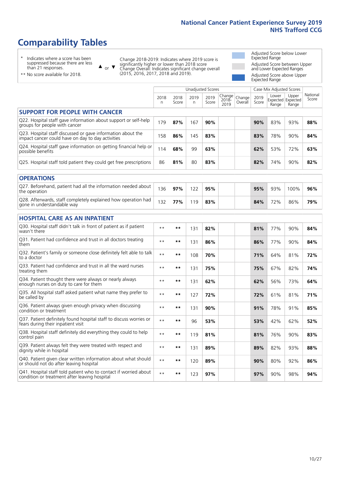# **Comparability Tables**

\* Indicates where a score has been suppressed because there are less than 21 responses.

\*\* No score available for 2018.

 $\triangle$  or  $\nabla$ 

Change 2018-2019: Indicates where 2019 score is significantly higher or lower than 2018 score Change Overall: Indicates significant change overall (2015, 2016, 2017, 2018 and 2019).

Adjusted Score below Lower Expected Range Adjusted Score between Upper and Lower Expected Ranges Adjusted Score above Upper Expected Range

|                                                                                                                   |              |               |           | <b>Unadjusted Scores</b> |                         |                   |               | Case Mix Adjusted Scores            |                |                   |
|-------------------------------------------------------------------------------------------------------------------|--------------|---------------|-----------|--------------------------|-------------------------|-------------------|---------------|-------------------------------------|----------------|-------------------|
|                                                                                                                   | 2018<br>n    | 2018<br>Score | 2019<br>n | 2019<br>Score            | Change<br>2018-<br>2019 | Change<br>Overall | 2019<br>Score | Lower<br>Expected Expected<br>Range | Upper<br>Range | National<br>Score |
| <b>SUPPORT FOR PEOPLE WITH CANCER</b>                                                                             |              |               |           |                          |                         |                   |               |                                     |                |                   |
| Q22. Hospital staff gave information about support or self-help<br>groups for people with cancer                  | 179          | 87%           | 167       | 90%                      |                         |                   | 90%           | 83%                                 | 93%            | 88%               |
| Q23. Hospital staff discussed or gave information about the<br>impact cancer could have on day to day activities  | 158          | 86%           | 145       | 83%                      |                         |                   | 83%           | 78%                                 | 90%            | 84%               |
| Q24. Hospital staff gave information on getting financial help or<br>possible benefits                            | 114          | 68%           | 99        | 63%                      |                         |                   | 62%           | 53%                                 | 72%            | 63%               |
| Q25. Hospital staff told patient they could get free prescriptions                                                | 86           | 81%           | 80        | 83%                      |                         |                   | 82%           | 74%                                 | 90%            | 82%               |
| <b>OPERATIONS</b>                                                                                                 |              |               |           |                          |                         |                   |               |                                     |                |                   |
| Q27. Beforehand, patient had all the information needed about<br>the operation                                    | 136          | 97%           | 122       | 95%                      |                         |                   | 95%           | 93%                                 | 100%           | 96%               |
| Q28. Afterwards, staff completely explained how operation had<br>gone in understandable way                       | 132          | 77%           | 119       | 83%                      |                         |                   | 84%           | 72%                                 | 86%            | 79%               |
| <b>HOSPITAL CARE AS AN INPATIENT</b>                                                                              |              |               |           |                          |                         |                   |               |                                     |                |                   |
| Q30. Hospital staff didn't talk in front of patient as if patient<br>wasn't there                                 | $\star\star$ | **            | 131       | 82%                      |                         |                   | 81%           | 77%                                 | 90%            | 84%               |
| Q31. Patient had confidence and trust in all doctors treating<br>them                                             | $\star\star$ | **            | 131       | 86%                      |                         |                   | 86%           | 77%                                 | 90%            | 84%               |
| Q32. Patient's family or someone close definitely felt able to talk<br>to a doctor                                | $* *$        | **            | 108       | 70%                      |                         |                   | 71%           | 64%                                 | 81%            | 72%               |
| Q33. Patient had confidence and trust in all the ward nurses<br>treating them                                     | $**$         | **            | 131       | 75%                      |                         |                   | 75%           | 67%                                 | 82%            | 74%               |
| Q34. Patient thought there were always or nearly always<br>enough nurses on duty to care for them                 | $* *$        | **            | 131       | 62%                      |                         |                   | 62%           | 56%                                 | 73%            | 64%               |
| Q35. All hospital staff asked patient what name they prefer to<br>be called by                                    | $**$         | **            | 127       | 72%                      |                         |                   | 72%           | 61%                                 | 81%            | 71%               |
| Q36. Patient always given enough privacy when discussing<br>condition or treatment                                | $* *$        | **            | 131       | 90%                      |                         |                   | 91%           | 78%                                 | 91%            | 85%               |
| Q37. Patient definitely found hospital staff to discuss worries or<br>fears during their inpatient visit          | $**$         | **            | 96        | 53%                      |                         |                   | 53%           | 42%                                 | 62%            | 52%               |
| Q38. Hospital staff definitely did everything they could to help<br>control pain                                  | $\star\star$ | $***$         | 119       | 81%                      |                         |                   | 81%           | 76%                                 | 90%            | 83%               |
| Q39. Patient always felt they were treated with respect and<br>dignity while in hospital                          | $\star\star$ | **            | 131       | 89%                      |                         |                   | 89%           | 82%                                 | 93%            | 88%               |
| Q40. Patient given clear written information about what should<br>or should not do after leaving hospital         | $**$         | **            | 120       | 89%                      |                         |                   | 90%           | 80%                                 | 92%            | 86%               |
| Q41. Hospital staff told patient who to contact if worried about<br>condition or treatment after leaving hospital | $**$         | **            | 123       | 97%                      |                         |                   | 97%           | 90%                                 | 98%            | 94%               |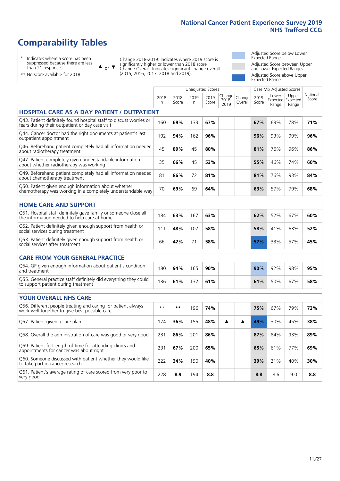# **Comparability Tables**

\* Indicates where a score has been suppressed because there are less than 21 responses.

\*\* No score available for 2018.

 $\triangle$  or  $\nabla$ 

Change 2018-2019: Indicates where 2019 score is significantly higher or lower than 2018 score Change Overall: Indicates significant change overall (2015, 2016, 2017, 2018 and 2019).

Adjusted Score below Lower Expected Range Adjusted Score between Upper and Lower Expected Ranges Adjusted Score above Upper Expected Range

|                                                                                                                       |              |               |            | Unadjusted Scores |                            |                   |               | Case Mix Adjusted Scores |                                     |                   |
|-----------------------------------------------------------------------------------------------------------------------|--------------|---------------|------------|-------------------|----------------------------|-------------------|---------------|--------------------------|-------------------------------------|-------------------|
|                                                                                                                       | 2018<br>n    | 2018<br>Score | 2019<br>n. | 2019<br>Score     | Change<br>$2018 -$<br>2019 | Change<br>Overall | 2019<br>Score | Lower<br>Range           | Upper<br>Expected Expected<br>Range | National<br>Score |
| <b>HOSPITAL CARE AS A DAY PATIENT / OUTPATIENT</b>                                                                    |              |               |            |                   |                            |                   |               |                          |                                     |                   |
| Q43. Patient definitely found hospital staff to discuss worries or<br>fears during their outpatient or day case visit | 160          | 69%           | 133        | 67%               |                            |                   | 67%           | 63%                      | 78%                                 | 71%               |
| Q44. Cancer doctor had the right documents at patient's last<br>outpatient appointment                                | 192          | 94%           | 162        | 96%               |                            |                   | 96%           | 93%                      | 99%                                 | 96%               |
| Q46. Beforehand patient completely had all information needed<br>about radiotherapy treatment                         | 45           | 89%           | 45         | 80%               |                            |                   | 81%           | 76%                      | 96%                                 | 86%               |
| Q47. Patient completely given understandable information<br>about whether radiotherapy was working                    | 35           | 66%           | 45         | 53%               |                            |                   | 55%           | 46%                      | 74%                                 | 60%               |
| Q49. Beforehand patient completely had all information needed<br>about chemotherapy treatment                         | 81           | 86%           | 72         | 81%               |                            |                   | 81%           | 76%                      | 93%                                 | 84%               |
| Q50. Patient given enough information about whether<br>chemotherapy was working in a completely understandable way    | 70           | 69%           | 69         | 64%               |                            |                   | 63%           | 57%                      | 79%                                 | 68%               |
| <b>HOME CARE AND SUPPORT</b>                                                                                          |              |               |            |                   |                            |                   |               |                          |                                     |                   |
|                                                                                                                       |              |               |            |                   |                            |                   |               |                          |                                     |                   |
| Q51. Hospital staff definitely gave family or someone close all<br>the information needed to help care at home        | 184          | 63%           | 167        | 63%               |                            |                   | 62%           | 52%                      | 67%                                 | 60%               |
| Q52. Patient definitely given enough support from health or<br>social services during treatment                       | 111          | 48%           | 107        | 58%               |                            |                   | 58%           | 41%                      | 63%                                 | 52%               |
| Q53. Patient definitely given enough support from health or<br>social services after treatment                        | 66           | 42%           | 71         | 58%               |                            |                   | 57%           | 33%                      | 57%                                 | 45%               |
| <b>CARE FROM YOUR GENERAL PRACTICE</b>                                                                                |              |               |            |                   |                            |                   |               |                          |                                     |                   |
| Q54. GP given enough information about patient's condition<br>and treatment                                           | 180          | 94%           | 165        | 90%               |                            |                   | 90%           | 92%                      | 98%                                 | 95%               |
| Q55. General practice staff definitely did everything they could<br>to support patient during treatment               | 136          | 61%           | 132        | 61%               |                            |                   | 61%           | 50%                      | 67%                                 | 58%               |
| <b>YOUR OVERALL NHS CARE</b>                                                                                          |              |               |            |                   |                            |                   |               |                          |                                     |                   |
| Q56. Different people treating and caring for patient always                                                          |              |               |            |                   |                            |                   |               |                          |                                     |                   |
| work well together to give best possible care                                                                         | $\star\star$ | $***$         | 196        | 74%               |                            |                   | 75%           | 67%                      | 79%                                 | 73%               |
| Q57. Patient given a care plan                                                                                        | 174          | 36%           | 155        | 48%               | ▲                          | ▲                 | 49%           | 30%                      | 45%                                 | 38%               |
| Q58. Overall the administration of care was good or very good                                                         | 231          | 86%           | 201        | 86%               |                            |                   | 87%           | 84%                      | 93%                                 | 89%               |
| Q59. Patient felt length of time for attending clinics and<br>appointments for cancer was about right                 | 231          | 67%           | 200        | 65%               |                            |                   | 65%           | 61%                      | 77%                                 | 69%               |
| Q60. Someone discussed with patient whether they would like<br>to take part in cancer research                        | 222          | 34%           | 190        | 40%               |                            |                   | 39%           | 21%                      | 40%                                 | 30%               |
| Q61. Patient's average rating of care scored from very poor to<br>very good                                           | 228          | 8.9           | 194        | 8.8               |                            |                   | 8.8           | 8.6                      | 9.0                                 | 8.8               |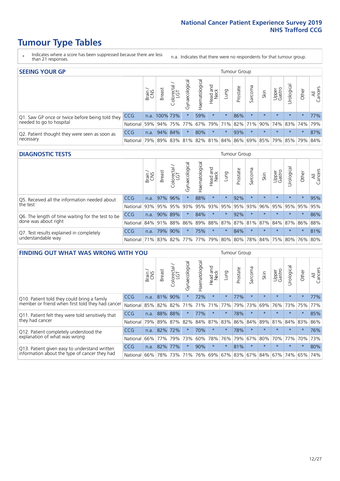- \* Indicates where a score has been suppressed because there are less than 21 responses.
- n.a. Indicates that there were no respondents for that tumour group.

| <b>SEEING YOUR GP</b>                           |            |              |               |            |                    |                |                  |         |          |         |         | Tumour Group    |                                                           |         |                |  |  |  |  |
|-------------------------------------------------|------------|--------------|---------------|------------|--------------------|----------------|------------------|---------|----------|---------|---------|-----------------|-----------------------------------------------------------|---------|----------------|--|--|--|--|
|                                                 |            | Brain<br>CNS | <b>Breast</b> | Colorectal | ᠊ᢛ<br>Gynaecologic | Haematological | Head and<br>Neck | Lung    | Prostate | Sarcoma | Skin    | Upper<br>Gastro | $\sigma$<br>Irologica                                     | Other   | All<br>Cancers |  |  |  |  |
| Q1. Saw GP once or twice before being told they | CCG        |              | n.a. 100% 73% |            |                    | 59%            | $\star$          | $\star$ | 86%      | $\star$ | $\star$ | $\star$         | $\star$                                                   | $\star$ | 77%            |  |  |  |  |
| needed to go to hospital                        | National   | 59%          |               |            | 94% 75% 77%        |                |                  |         |          |         |         |                 | 67%   79%   71%   82%   71%   90%   74%   83%   74%   79% |         |                |  |  |  |  |
| Q2. Patient thought they were seen as soon as   | <b>CCG</b> | n.a.         |               | 94% 84%    | $\star$            | 80%            | $\star$          | $\star$ | 93%      | $\star$ | $\star$ | $\star$         | $\star$                                                   | $\star$ | 87%            |  |  |  |  |
| necessary                                       | National   | 79%          |               | 89% 83%    |                    |                |                  |         |          |         |         |                 | 81%   82%   81%   84%   86%   69%   85%   79%   85%   79% |         | 84%            |  |  |  |  |

#### **DIAGNOSTIC TESTS** Tumour Group

|                                                   |                                          | Brain | Breast      | ╮<br>olorectal<br>LGT<br>$\cup$ | ᢛ<br>Gynaecologic | Haematological | Head and<br>Neck | Lung    | Prostate | Sarcoma | Skin    | Upper<br>Gastro | Urologica                                                       | Other   | All<br>Cancers |
|---------------------------------------------------|------------------------------------------|-------|-------------|---------------------------------|-------------------|----------------|------------------|---------|----------|---------|---------|-----------------|-----------------------------------------------------------------|---------|----------------|
| Q5. Received all the information needed about     | <b>CCG</b>                               | n.a.  | 97% 96%     |                                 | $\star$           | 88%            | $\star$          | $\star$ | 92%      | $\star$ | $\star$ | $\star$         | $\star$                                                         | $\star$ | 95%            |
| the test                                          | National                                 | 93%   | 95%         | 95%                             | 93%               | 95%            | 93%              | 95%     | 95%      | 93%     | 96%     | 95%             | 95%                                                             | 95%     | 95%            |
| Q6. The length of time waiting for the test to be | <b>CCG</b>                               | n.a.  | 90%         | 89%                             | $\star$           | 84%            | $\star$          | $\star$ | 92%      |         | $\star$ | $\star$         | $\star$                                                         | $\star$ | 86%            |
| done was about right                              | National                                 |       | 84% 91% 88% |                                 |                   |                |                  |         |          |         |         |                 | 86%   89%   88%   87%   87%   81%   87%   84%   87%   86%   88% |         |                |
| Q7. Test results explained in completely          | <b>CCG</b>                               | n.a.  |             | 79% 90%                         | $\star$           | 75%            | $\star$          | $\star$ | 84%      | $\star$ | $\star$ | $\star$         | $\star$                                                         | $\star$ | 81%            |
| understandable way                                | National 71% 83% 82% 77% 77% 79% 80% 80% |       |             |                                 |                   |                |                  |         |          |         |         |                 | 78% 84% 75% 80% 76% 80%                                         |         |                |

|                                                             | <b>FINDING OUT WHAT WAS WRONG WITH YOU</b> |       |               |                             |                |                 |                        |             |          |         |         |                 |            |         |                |
|-------------------------------------------------------------|--------------------------------------------|-------|---------------|-----------------------------|----------------|-----------------|------------------------|-------------|----------|---------|---------|-----------------|------------|---------|----------------|
|                                                             |                                            | Brain | <b>Breast</b> | ╮<br>olorectal.<br>LGT<br>Ũ | Gynaecological | Haematological  | ad and<br>Neck<br>Head | Lung        | Prostate | Sarcoma | Skin    | Upper<br>Gastro | Jrological | Other   | All<br>Cancers |
| Q10. Patient told they could bring a family                 | <b>CCG</b>                                 | n.a.  | 81%           | 90%                         |                | 72%             | $\star$                | $\star$     | 77%      | $\star$ | $\star$ | $\star$         | $\star$    | $\star$ | 77%            |
| member or friend when first told they had cancer            | National                                   | 85%   | 82%           | 82%                         | 71%            | 71%             | 71%                    | 77%         | 79%      | 73%     | 69%     | 76%             | 73%        | 75%     | 77%            |
| Q11. Patient felt they were told sensitively that           | <b>CCG</b>                                 | n.a.  | 88%           | 88%                         |                | 77%             | $\star$                | $\star$     | 78%      | $\star$ | $\star$ | $\star$         | $\star$    | $\star$ | 85%            |
| they had cancer                                             | National                                   | 79%   | 89% 87%       |                             | 82%            |                 |                        | 84% 87% 83% | 86%      | 84%     | 89%     | 81%             | 84% 83%    |         | 86%            |
| Q12. Patient completely understood the                      | <b>CCG</b>                                 | n.a.  | 82%           | 72%                         |                | 70%             | $\star$                | $\star$     | 78%      | $\star$ | $\star$ | $\star$         | $\star$    | $\star$ | 76%            |
| explanation of what was wrong                               | National                                   | 66%   | 77%           | 79%                         | 73%            | 60%             | 78%                    | 76%         | 79%      | 67%     | 80%     | 70%             | 77%        | 70%     | 73%            |
| <b>CCG</b><br>Q13. Patient given easy to understand written |                                            | n.a.  | 82%           | 177%                        | $\star$        | 90%             | $\star$                | $\star$     | 81%      | $\star$ | $\star$ | $\star$         | $\star$    | $\star$ | 80%            |
| information about the type of cancer they had               | National                                   | 66%   | 78%           | 73%                         | 71%            | 76% 69% 67% 83% |                        |             |          | 67%     | 84%     |                 | 67% 74%    | 65%     | 74%            |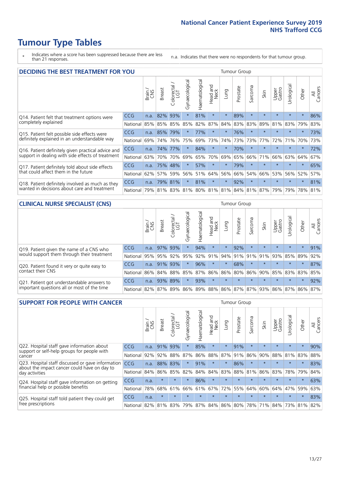- \* Indicates where a score has been suppressed because there are less than 21 responses.
- n.a. Indicates that there were no respondents for that tumour group.

| <b>DECIDING THE BEST TREATMENT FOR YOU</b>               | <b>Tumour Group</b> |       |               |                             |                |                |                         |         |                                         |                      |         |                 |            |         |                |
|----------------------------------------------------------|---------------------|-------|---------------|-----------------------------|----------------|----------------|-------------------------|---------|-----------------------------------------|----------------------|---------|-----------------|------------|---------|----------------|
|                                                          |                     | Brain | <b>Breast</b> | olorectal.<br>LGT<br>$\cup$ | Gynaecological | Haematological | ead and<br>Neck<br>Head | Lung    | Prostate                                | arcoma<br>$\sqrt{ }$ | Skin    | Upper<br>Gastro | Jrological | Other   | All<br>Cancers |
| CCG<br>Q14. Patient felt that treatment options were     |                     | n.a.  | 82%           | 93%                         | $\star$        | 81%            | $\star$                 | $\star$ | 89%                                     | $\star$              | $\star$ | $\star$         | $\star$    | $\star$ | 86%            |
| completely explained                                     | National            | 85%   | 85%           | 85%                         | 85%            | 82%            | 87%                     | 84%     | 83%                                     | 83%                  | 89%     | 81%             | 83%        | 79%     | 83%            |
| Q15. Patient felt possible side effects were             | CCG                 | n.a.  | 85%           | 79%                         | $\star$        | 77%            | $\star$                 | $\star$ | 76%                                     | $\star$              |         | $\star$         | $\star$    | $\star$ | 73%            |
| definitely explained in an understandable way            | National            | 69%   | 74%           | 76%                         | 75%            | 69%            | 73%                     | 74%     | 73%                                     | 73%                  | 77%     | 72%             | 71%        | 70%     | 73%            |
| Q16. Patient definitely given practical advice and       | <b>CCG</b>          | n.a.  | 74%           | 77%                         | $\star$        | 84%            | $\star$                 | $\star$ | 70%                                     | $\star$              | $\star$ | $\star$         | $\star$    | $\star$ | 72%            |
| support in dealing with side effects of treatment        | National            | 63%   | 70%           | 70%                         | 69%            | 65%            | 70%                     | 69%     | 65%                                     | 66%                  | 71%     | 66%             | 63%        | 64%     | 67%            |
| Q17. Patient definitely told about side effects          | <b>CCG</b>          | n.a.  | 75%           | 48%                         | $\star$        | 57%            | $\star$                 | $\star$ | 79%                                     | $\star$              | $\star$ | $\star$         | $\star$    | $\star$ | 65%            |
| that could affect them in the future                     | National            | 62%   | 57%           | 59%                         | 56%            | 51%            | 64%                     | 56%     | 66%                                     | 54%                  | 66%     | 53%             | 56%        | 52%     | 57%            |
| Q18. Patient definitely involved as much as they         | CCG                 | n.a.  | 79%           | 81%                         | $\star$        | 81%            | $\star$                 | $\star$ | 92%                                     | $\star$              | $\star$ | $\star$         | $\star$    | $\star$ | 81%            |
| wanted in decisions about care and treatment<br>National |                     | 79%   |               |                             |                |                |                         |         | 81% 83% 81% 80% 81% 81% 84% 81% 87% 79% |                      |         |                 | 79%        | 78% 81% |                |

#### **CLINICAL NURSE SPECIALIST (CNS)** Tumour Group

|                                             |            | Brain | <b>Breast</b> | Colorectal<br>LGT | $\sigma$<br>Gynaecologic | Haematological | Head and<br>Neck | Lung    | Prostate | Sarcoma | Skin                        | Upper<br>Gastro | Urologica       | Other   | All<br>Cancers |
|---------------------------------------------|------------|-------|---------------|-------------------|--------------------------|----------------|------------------|---------|----------|---------|-----------------------------|-----------------|-----------------|---------|----------------|
| Q19. Patient given the name of a CNS who    | <b>CCG</b> | n.a.  |               | 97% 93%           |                          | 94%            | $\star$          | $\star$ | 92%      | $\star$ | $\star$                     | $\star$         | $\star$         | $\star$ | 91%            |
| would support them through their treatment  | National   | 95%   | 95%           | 92%               | 95%                      | 92%            | 91%              | 94%     | 91%      | 91%     | 91%                         | 93%             | 85%             | 89%     | 92%            |
| Q20. Patient found it very or quite easy to | <b>CCG</b> | n.a.  | 91% 93%       |                   | $\star$                  | 96%            | $\star$          | $\star$ | 68%      |         | $\star$                     | $\star$         | $\star$         | $\star$ | 87%            |
| contact their CNS                           | National   | 86%   | $84\%$        | 88%               | 85%                      |                | 87% 86% 86%      |         | 80%      | 86%     | 90%                         |                 | 85% 83% 83% 85% |         |                |
| Q21. Patient got understandable answers to  | <b>CCG</b> | n.a.  | 93%           | 89%               | $\star$                  | 93%            | $\star$          | $\star$ | $\star$  | $\star$ | $\star$                     | $\star$         | $\star$         | $\star$ | 92%            |
| important questions all or most of the time | National   | 82%   | 87%           | 89%               |                          |                |                  |         |          |         | 86% 89% 88% 86% 87% 87% 93% |                 | 86% 87% 86% 87% |         |                |

| <b>SUPPORT FOR PEOPLE WITH CANCER</b>                                                               |            |       |               |            |                |                |                     |         |          | Tumour Group             |         |                 |           |         |                |
|-----------------------------------------------------------------------------------------------------|------------|-------|---------------|------------|----------------|----------------|---------------------|---------|----------|--------------------------|---------|-----------------|-----------|---------|----------------|
|                                                                                                     |            | Brain | <b>Breast</b> | Colorectal | Gynaecological | Haematological | and<br>Neck<br>Head | Lung    | Prostate | arcoma<br>$\overline{2}$ | Skin    | Upper<br>Gastro | Urologica | Other   | All<br>Cancers |
| Q22. Hospital staff gave information about<br>support or self-help groups for people with<br>cancer | CCG.       | n.a.  | 91%           | 93%        | $\star$        | 85%            | $\star$             | $\star$ | 91%      | $\star$                  | $\star$ | $\star$         | $\star$   | $\star$ | 90%            |
|                                                                                                     | National   | 92%   | 92%           | 88%        | 87%            | 86%            | 88%                 | 87%     | 91%      | 86%                      | 90%     | 88%             | 81%       | 83%     | 88%            |
| Q23. Hospital staff discussed or gave information<br>about the impact cancer could have on day to   | CCG.       | n.a.  | 88%           | 83%        | $\star$        | 91%            | $\star$             | $\star$ | 86%      | $\star$                  | $\star$ | $\star$         | $\star$   | $\star$ | 83%            |
| day activities                                                                                      | National   | 84%   | 86%           | 85%        | 82%            | 84%            | 84%                 | 83%     | 88%      | 81%                      | 86%     | 83%             | 78%       | 79%     | 84%            |
| Q24. Hospital staff gave information on getting                                                     | <b>CCG</b> | n.a.  | $\star$       | $\star$    | $\star$        | 86%            | $\star$             | $\star$ | $\star$  | $\star$                  |         | $\star$         | $\star$   | $\star$ | 63%            |
| financial help or possible benefits                                                                 | National   | 78%   | 68%           | 61%        | 66%            | 61%            | 67%                 | 72%     | 55%      | 64%                      | 60%     | 64%             | 47%       | 59%     | 63%            |
| Q25. Hospital staff told patient they could get<br>free prescriptions                               | <b>CCG</b> | n.a.  | $\star$       | $\star$    |                |                | $\star$             | $\star$ | $\star$  | $\star$                  |         | $\star$         | $\star$   | $\ast$  | 83%            |
|                                                                                                     | National   | 82%   | 81%           | 83%        | 79%            | 87%            | 84%                 | 86%     | 80%      | 78%                      | 71%     | 84%             | 73%       | 81%     | 82%            |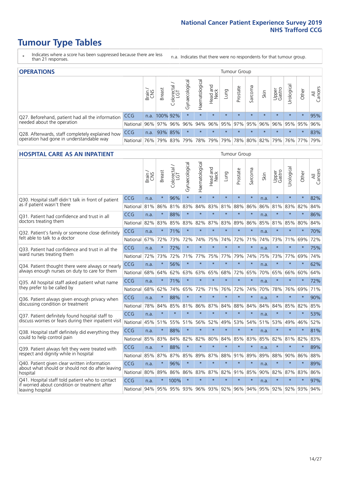- \* Indicates where a score has been suppressed because there are less than 21 responses.
- n.a. Indicates that there were no respondents for that tumour group.

| <b>OPERATIONS</b>                                                                           |              |                 | Tumour Group  |            |                |                     |                         |         |          |         |         |                     |                 |           |                |
|---------------------------------------------------------------------------------------------|--------------|-----------------|---------------|------------|----------------|---------------------|-------------------------|---------|----------|---------|---------|---------------------|-----------------|-----------|----------------|
|                                                                                             |              | Brain           | <b>Breast</b> | Colorectal | Gynaecological | Haematological      | Head and<br>Neck        | Lung    | Prostate | Sarcoma | Skin    | Upper<br>Gastro     | ক<br>Jrologica  | Other     | All<br>Cancers |
| Q27. Beforehand, patient had all the information                                            | CCG          | n.a.            | 100% 92%      |            | $\star$        |                     | $\star$                 | $\star$ | $\star$  | $\star$ | $\star$ | $\star$             | $\star$         | $\star$   | 95%            |
| needed about the operation                                                                  | National I   | 96% 97% 96% 96% |               |            |                |                     | 94% 96% 95% 97% 95% 96% |         |          |         |         |                     | 96% 95% 95% 96% |           |                |
| Q28. Afterwards, staff completely explained how<br>operation had gone in understandable way | <b>CCG</b>   | n.a.            |               | 93% 85%    | $\star$        |                     | $\star$                 | $\star$ | $\star$  | $\star$ | $\star$ | $\star$             | $\star$         | $\star$   | 83%            |
|                                                                                             | National 76% |                 |               |            |                | 79% 83% 79% 78% 79% |                         |         |          |         |         | 79% 78% 80% 82% 79% |                 | 76%   77% | 79%            |

#### **HOSPITAL CARE AS AN INPATIENT** Tumour Group

|                                                                                                              |            | Brain<br>CNS | Breast  | Colorectal /<br>LGT | Gynaecological | Haematological | Head and<br>Neck | Lung                    | Prostate | Sarcoma | Skin | Upper<br>Gastro | Urological  | Other   | Cancers<br>$\equiv$ |
|--------------------------------------------------------------------------------------------------------------|------------|--------------|---------|---------------------|----------------|----------------|------------------|-------------------------|----------|---------|------|-----------------|-------------|---------|---------------------|
| Q30. Hospital staff didn't talk in front of patient                                                          | CCG        | n.a.         | $\star$ | 96%                 | $\star$        | $\star$        | $\star$          | $\star$                 | $\star$  | $\star$ | n.a. | $\star$         | $\star$     | $\star$ | 82%                 |
| as if patient wasn't there                                                                                   | National   | 81%          | 86%     | 81%                 | 83%            | 84%            | 83%              | 81%                     | 88%      | 86%     | 86%  | 81%             | 83%         | 82%     | 84%                 |
| O31. Patient had confidence and trust in all                                                                 | CCG        | n.a.         | $\star$ | 88%                 | $\star$        | $\star$        | $\star$          | $\star$                 | $\star$  | $\star$ | n.a. |                 | $\star$     | $\star$ | 86%                 |
| doctors treating them                                                                                        | National   | 82%          | 83%     | 85%                 | 83%            | 82%            |                  | 87% 83%                 | 89%      | 86%     | 85%  |                 | 81% 85%     | 80%     | 84%                 |
| Q32. Patient's family or someone close definitely<br>felt able to talk to a doctor                           | CCG        | n.a.         | $\star$ | 71%                 | $\star$        | $\star$        | $\star$          | $\star$                 | $\star$  | $\star$ | n.a. |                 | $\star$     | $\star$ | 70%                 |
|                                                                                                              | National   | 67%          | 72%     | 73%                 | 72%            | 74%            | 75%              | 74%                     | 72%      | 71%     | 74%  | 73%             | 71%         | 69%     | 72%                 |
| Q33. Patient had confidence and trust in all the                                                             | <b>CCG</b> | n.a.         | $\star$ | 72%                 | $\star$        | $\star$        | $\star$          | $\star$                 | $\star$  | $\star$ | n.a. | $\star$         | $\star$     | $\star$ | 75%                 |
| ward nurses treating them                                                                                    | National   | 72%          | 73%     | 72%                 |                | 71% 77%        | 75%              | 77%                     | 79%      | 74%     | 75%  | 73%             | 77%         | 69%     | 74%                 |
| Q34. Patient thought there were always or nearly<br>always enough nurses on duty to care for them            | <b>CCG</b> | n.a.         | $\star$ | 56%                 | $\star$        | $\star$        | $\star$          | $\star$                 | $\star$  | $\star$ | n.a. | $\star$         | $\star$     | $\star$ | 62%                 |
|                                                                                                              | National   | 68%          | 64%     | 62%                 | 63%            | 63%            | 65%              | 68%                     | 72%      | 65%     | 70%  | 65%             | 66%         | 60%     | 64%                 |
| Q35. All hospital staff asked patient what name                                                              | CCG        | n.a.         | $\star$ | 71%                 |                | $\star$        | $\star$          | $\star$                 | $\star$  | $\star$ | n.a. |                 | $\star$     | $\star$ | 72%                 |
| they prefer to be called by                                                                                  | National   | 68%          | 62%     | 74%                 | 65%            | 72%            | 71%              | 76%                     | 72%      | 74%     | 70%  | 78%             | 76%         | 69%     | 71%                 |
| Q36. Patient always given enough privacy when                                                                | CCG        | n.a.         | $\star$ | 88%                 | $\star$        | $\star$        | $\star$          | $\star$                 | $\star$  | $\star$ | n.a. | $\star$         | $\star$     | $\star$ | 90%                 |
| discussing condition or treatment                                                                            | National   | 78%          | 84%     | 85%                 | 81%            | 86%            |                  | 87% 84%                 | 88%      | 84%     | 84%  | 84%             | 85%         | 82%     | 85%                 |
| Q37. Patient definitely found hospital staff to                                                              | <b>CCG</b> | n.a.         | $\star$ | $\star$             | $\star$        | ÷              | $\star$          | $\star$                 | $\star$  | $\star$ | n.a. |                 | $\star$     | $\star$ | 53%                 |
| discuss worries or fears during their inpatient visit                                                        | National   | 45%          | 51%     | 55%                 | 51%            | 56%            | 52%              | 49%                     | 53%      | 54%     | 51%  | 53%             | 49%         | 46%     | 52%                 |
| Q38. Hospital staff definitely did everything they                                                           | CCG        | n.a.         | $\star$ | 88%                 | $\star$        | $\star$        | $\star$          | $\star$                 | $\star$  | $\star$ | n.a. | $\star$         | $\star$     | $\star$ | 81%                 |
| could to help control pain                                                                                   | National   | 85%          | 83%     | 84%                 | 82%            | 82%            | 80%              | 84%                     | 85%      | 83%     | 85%  | 82%             | 81%         | 82%     | 83%                 |
| Q39. Patient always felt they were treated with                                                              | CCG        | n.a.         | $\star$ | 88%                 | $\star$        | $\star$        | $\star$          | $\star$                 | $\star$  | $\star$ | n.a. |                 | $\star$     | $\star$ | 89%                 |
| respect and dignity while in hospital                                                                        | National   | 85%          | 87%     | 87%                 | 85%            | 89%            |                  | 87% 88%                 | 91%      | 89%     | 89%  | 88%             | 90%         | 86%     | 88%                 |
| Q40. Patient given clear written information<br>about what should or should not do after leaving<br>hospital | CCG        | n.a.         | $\star$ | 96%                 | $\star$        | $\star$        | $\star$          | $\star$                 | $\star$  | $\star$ | n.a. |                 | $\star$     | $\star$ | 89%                 |
|                                                                                                              | National   | 80%          | 89%     | 86%                 | 86%            | 83%            |                  | 87% 82%                 | 91%      | 85%     | 90%  | 82%             | 87%         | 83%     | 86%                 |
| Q41. Hospital staff told patient who to contact                                                              | CCG        | n.a.         | $\star$ | 100%                | $\star$        | $\star$        | $\star$          | $\star$                 | $\star$  | $\star$ | n.a. | $\star$         | $\star$     | $\star$ | 97%                 |
| if worried about condition or treatment after<br>leaving hospital                                            | National I | 94%          |         |                     |                |                |                  | 95% 95% 93% 96% 93% 92% | 96%      | 94%     |      |                 | 95% 92% 92% | 93%     | 94%                 |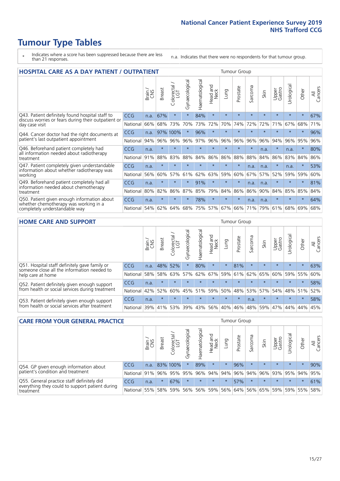- \* Indicates where a score has been suppressed because there are less than 21 responses.
- n.a. Indicates that there were no respondents for that tumour group.

| <b>HOSPITAL CARE AS A DAY PATIENT / OUTPATIENT</b>                                                                       |            | <b>Tumour Group</b> |               |            |                |                |                        |         |          |                      |         |                 |            |         |                |
|--------------------------------------------------------------------------------------------------------------------------|------------|---------------------|---------------|------------|----------------|----------------|------------------------|---------|----------|----------------------|---------|-----------------|------------|---------|----------------|
|                                                                                                                          |            | Brain               | <b>Breast</b> | Colorectal | Gynaecological | Haematological | ad and<br>Neck<br>Head | Lung    | Prostate | arcoma<br>$\sqrt{ }$ | Skin    | Upper<br>Gastro | Urological | Other   | All<br>Cancers |
| Q43. Patient definitely found hospital staff to<br>discuss worries or fears during their outpatient or<br>day case visit | CCG        | n.a.                | 67%           | $\star$    | $\star$        | 84%            | $\star$                | $\star$ | $\star$  | $\star$              | $\star$ | $\star$         | $\star$    | $\star$ | 67%            |
|                                                                                                                          | National   | 66%                 | 68%           | 73%        | 70%            | 73%            | 72%                    | 70%     | 74%      | 72%                  | 72%     | 71%             | 67%        | 68%     | 71%            |
| Q44. Cancer doctor had the right documents at<br>patient's last outpatient appointment                                   | <b>CCG</b> | n.a.                | 97%           | 100%       | $\star$        | 96%            | $\star$                | $\star$ | $\star$  | $\star$              |         | $\star$         | $\star$    | $\star$ | 96%            |
|                                                                                                                          | National   | 94%                 | 96%           | 96%        | 96%            | 97%            | 96%                    | 96%     | 96%      | 96%                  | 96%     | 94%             | 96%        | 95%     | 96%            |
| Q46. Beforehand patient completely had<br>all information needed about radiotherapy                                      | CCG        | n.a.                | $\star$       | $\star$    |                |                | $\star$                | ÷       | $\star$  | $\star$              | n.a.    | $\star$         | n.a.       | $\star$ | 80%            |
| treatment                                                                                                                | National   | 91%                 | 88%           | 83%        | 88%            | 84%            | 86%                    | 86%     | 88%      | 88%                  | 84%     | 86%             | 83%        | 84%     | 86%            |
| Q47. Patient completely given understandable<br>information about whether radiotherapy was                               | CCG        | n.a.                | $\star$       | $\star$    | $\star$        |                | $\star$                | $\star$ | $\star$  | n.a.                 | n.a.    | $\star$         | n.a.       | $\star$ | 53%            |
| working                                                                                                                  | National   | 56%                 | 60%           | 57%        | 61%            | 62%            | 63%                    | 59%     | 60%      | 67%                  | 57%     | 52%             | 59%        | 59%     | 60%            |
| Q49. Beforehand patient completely had all                                                                               | CCG        | n.a.                | $\star$       | $\star$    | $\star$        | 91%            | $\star$                | $\star$ | $\star$  | n.a.                 | n.a.    | $\star$         | $\star$    | $\ast$  | 81%            |
| information needed about chemotherapy<br>treatment                                                                       | National   | 80%                 | 82%           | 86%        | 87%            | 85%            | 79%                    | 84%     | 86%      | 86%                  | 90%     | 84%             | 85%        | 85%     | 84%            |
| Q50. Patient given enough information about<br>whether chemotherapy was working in a<br>completely understandable way    | <b>CCG</b> | n.a.                | $\star$       | $\star$    |                | 78%            | $\star$                | $\star$ | $\star$  | n.a.                 | n.a.    | $\star$         |            | $\star$ | 64%            |
|                                                                                                                          | National   | 54%                 | 62%           | 64%        | 68%            | 75%            |                        | 57% 67% | 66%      | 71%                  | 79%     | 61%             | 68%        | 69%     | 68%            |

#### **HOME CARE AND SUPPORT** Tumour Group

|                                                                                                                   |              | Brain | Breast  | Colorectal<br>LGT | $\sigma$<br>Gynaecologic | Haematological | Head and<br>Neck | Dung    | Prostate | Sarcoma | Skin    | Upper<br>Gastro | rological       | Other   | All<br>Cancers |
|-------------------------------------------------------------------------------------------------------------------|--------------|-------|---------|-------------------|--------------------------|----------------|------------------|---------|----------|---------|---------|-----------------|-----------------|---------|----------------|
| Q51. Hospital staff definitely gave family or<br>someone close all the information needed to<br>help care at home | <b>CCG</b>   | n.a.  | 48%     | 52%               |                          | 80%            | $\star$          | $\star$ | 81%      | $\star$ | $\star$ | $\star$         | $\star$         | $\star$ | 63%            |
|                                                                                                                   | National     | 58%   | 58%     | 63%               |                          | $57\%$ 62% 67% |                  |         | 59% 61%  |         | 62% 65% | 60%             | 59% 55%         |         | 60%            |
| Q52. Patient definitely given enough support<br>from health or social services during treatment                   | <b>CCG</b>   | n.a.  | $\star$ | $\star$           | $\star$                  |                | $\star$          | $\star$ | $\star$  |         | $\star$ | $\star$         | $\star$         | $\star$ | 58%            |
|                                                                                                                   | National     | 42%   | 52%     | 60%               |                          | 45% 51%        | 59%              | 50%     | 48%      |         | 53% 57% |                 | 54%   48%   51% |         | 52%            |
| Q53. Patient definitely given enough support<br>from health or social services after treatment                    | CCG          | n.a.  | $\star$ | $\star$           | $\star$                  | $\star$        | $\star$          | $\star$ | $\star$  | n.a.    | $\star$ | $\star$         | $\star$         | $\star$ | 58%            |
|                                                                                                                   | National 39% |       | 41% 53% |                   | 39%                      | 43%            | 56%              | 40%     | 46%      |         | 48% 59% |                 | 47%   44%   44% |         | 45%            |

| <b>CARE FROM YOUR GENERAL PRACTICE</b>                       |              |       |               |                   |                | Tumour Group   |                  |         |          |         |         |                             |           |         |                |
|--------------------------------------------------------------|--------------|-------|---------------|-------------------|----------------|----------------|------------------|---------|----------|---------|---------|-----------------------------|-----------|---------|----------------|
|                                                              |              | Brain | <b>Breast</b> | Colorectal<br>LGT | Gynaecological | Haematological | Head and<br>Neck | Lung    | Prostate | Sarcoma | Skin    | Upper<br>Gastro             | Urologica | Other   | All<br>Cancers |
| Q54. GP given enough information about                       | <b>CCG</b>   | n.a.  |               | 83% 100%          | $\star$        | 89%            | $\star$          | $\star$ | 96%      | $\star$ | $\star$ | $\star$                     | $\star$   | $\star$ | 90%            |
| patient's condition and treatment                            | National 91% |       |               | 96% 95%           | 95%            |                | 96% 94% 94% 96%  |         |          |         |         | 94% 96% 93% 95% 94%         |           |         | 95%            |
| Q55. General practice staff definitely did                   | <b>CCG</b>   | n.a.  |               | 67%               | $\star$        | $\star$        | $\star$          | $\star$ | 57%      | $\star$ | $\star$ | $\star$                     | $\star$   | $\star$ | 61%            |
| everything they could to support patient during<br>treatment | National 55% |       | 58%           | 59%               | 56%            |                | 56% 59%          |         |          |         |         | 56% 64% 56% 65% 59% 59% 55% |           |         | 58%            |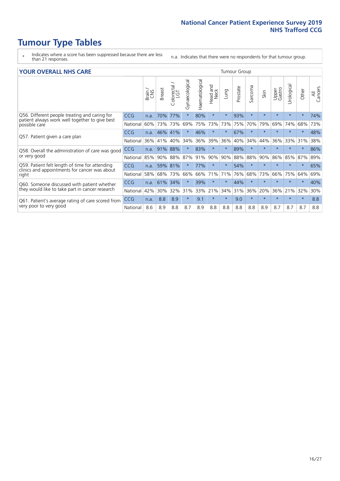- \* Indicates where a score has been suppressed because there are less than 21 responses.
- n.a. Indicates that there were no respondents for that tumour group.

#### **YOUR OVERALL NHS CARE** THE CONSTRUCTION OF THE THROUP GROUP TUMOUR GROUP

| I YUN YENAEL NI IYOANE |       |               |                                 |                                            |                |                         |                |          |         |              |                 |               |         |                |
|------------------------|-------|---------------|---------------------------------|--------------------------------------------|----------------|-------------------------|----------------|----------|---------|--------------|-----------------|---------------|---------|----------------|
|                        | Brain | <b>Breast</b> | ∽<br>olorectal<br>LGT<br>$\cup$ | Gynaecological                             | Haematological | aad and<br>Neck<br>Head | Lung           | Prostate | Sarcoma | Skin         | Upper<br>Gastro | ී<br>Urologic | Other   | All<br>Cancers |
| <b>CCG</b>             | n.a.  | 70%           | 77%                             |                                            | 80%            | $\star$                 | $\star$        | 93%      | $\star$ | $\star$      | $\star$         | $\star$       | $\ast$  | 74%            |
| National               | 60%   |               | 73%                             | 69%                                        | 75%            | 73%                     | 73%            | 75%      | 70%     | 79%          | 69%             | 74%           | 68%     | 73%            |
| <b>CCG</b>             | n.a.  |               |                                 |                                            | 46%            | $\star$                 | $\star$        | 67%      | $\star$ | $\star$      | $\star$         |               | $\star$ | 48%            |
| National               | 36%   | 41%           | 40%                             | 34%                                        | 36%            | 39%                     | 36%            | 40%      | 34%     | 44%          | 36%             | 33%           | 31%     | 38%            |
| <b>CCG</b>             | n.a.  | 91%           | 88%                             |                                            | 83%            | $\star$                 |                | 89%      | $\star$ | $\star$      |                 |               | $\star$ | 86%            |
| National               |       |               | 88%                             | 87%                                        | 91%            |                         | 90%            | 88%      | 88%     | 90%          | 86%             | 85%           | 87%     | 89%            |
| CCG                    | n.a.  |               |                                 |                                            | 77%            | $\star$                 | $\star$        | 54%      | $\star$ | $\star$      |                 | $\star$       | $\star$ | 65%            |
| National               | 58%   |               | 73%                             | 66%                                        | 66%            | 71%                     | 71%            | 76%      | 68%     | 73%          | 66%             | 75%           | 64%     | 69%            |
| <b>CCG</b>             | n.a.  | 61%           | 34%                             |                                            | 39%            | $\ast$                  | $^\star$       | 44%      | $\star$ | $\star$      |                 |               | $\star$ | 40%            |
| National               | 42%   | 30%           | 32%                             | 31%                                        |                |                         | 34%            | 31%      | 36%     | 20%          | 36%             | 21%           | 32%     | 30%            |
| <b>CCG</b>             | n.a.  | 8.8           | 8.9                             | $\star$                                    | 9.1            | $\star$                 | $\star$        | 9.0      | $\star$ | $\star$      | $\star$         | $\star$       | $\ast$  | 8.8            |
| National               | 8.6   | 8.9           | 8.8                             | 8.7                                        | 8.9            | 8.8                     | 8.8            | 8.8      | 8.8     | 8.9          | 8.7             | 8.7           | 8.7     | 8.8            |
|                        |       |               | 85%                             | 73%<br>46%<br>41%<br>90%<br>59% 81%<br>68% |                |                         | 90%<br>33% 21% |          |         | iamoar oroap |                 |               |         |                |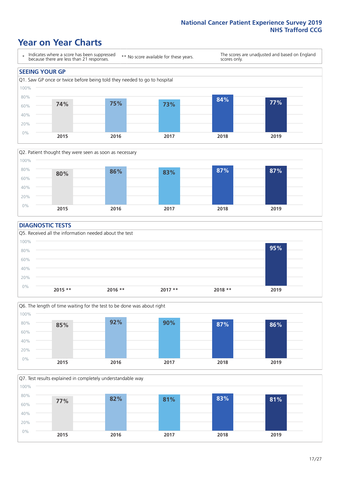### **Year on Year Charts**





#### **DIAGNOSTIC TESTS**





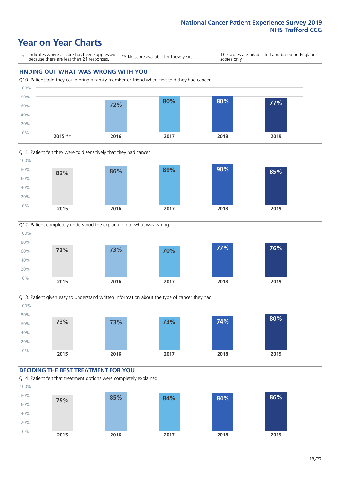## **Year on Year Charts**

\* Indicates where a score has been suppressed because there are less than 21 responses.

\*\* No score available for these years.

The scores are unadjusted and based on England scores only.









#### **DECIDING THE BEST TREATMENT FOR YOU**

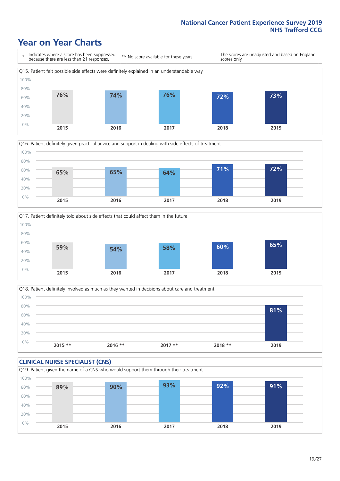### **Year on Year Charts**







Q18. Patient definitely involved as much as they wanted in decisions about care and treatment  $0%$ 20% 40% 60% 80% 100% **2015 \*\* 2016 \*\* 2017 \*\* 2018 \*\* 2019 81%**

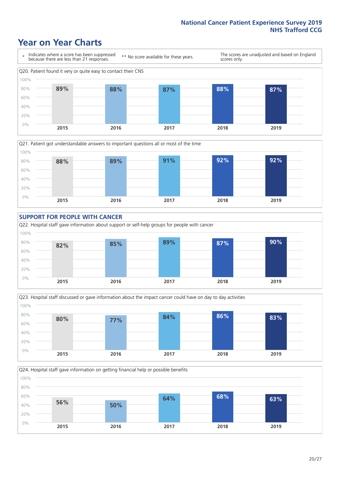### **Year on Year Charts**









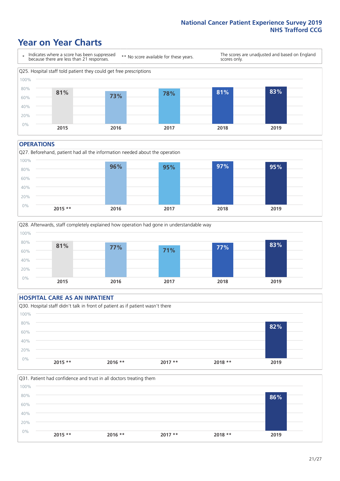### **Year on Year Charts**



#### **OPERATIONS**





#### **HOSPITAL CARE AS AN INPATIENT** Q30. Hospital staff didn't talk in front of patient as if patient wasn't there 0% 20% 40% 60% 80% 100% **2015 \*\* 2016 \*\* 2017 \*\* 2018 \*\* 2019 82%**

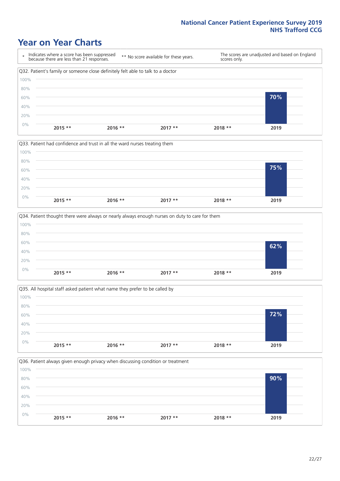### **Year on Year Charts**









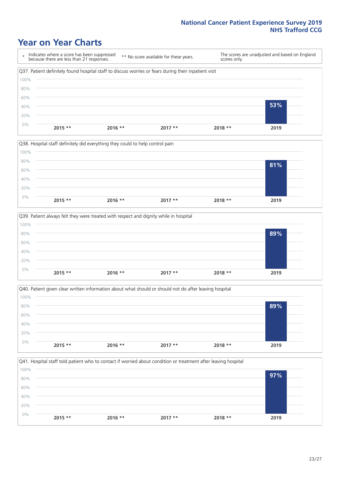### **Year on Year Charts**









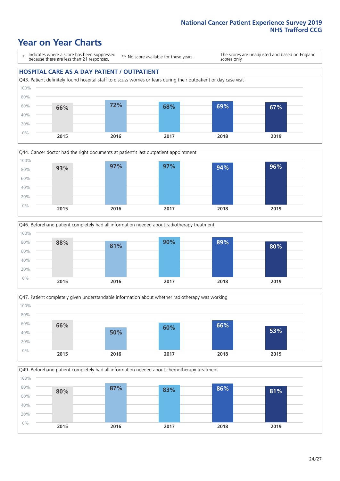### **Year on Year Charts**

\* Indicates where a score has been suppressed because there are less than 21 responses.

\*\* No score available for these years.

The scores are unadjusted and based on England scores only.

#### **HOSPITAL CARE AS A DAY PATIENT / OUTPATIENT**









Q49. Beforehand patient completely had all information needed about chemotherapy treatment 0% 20% 40% 60% 80% 100% **2015 2016 2017 2018 2019 80% 87% 83% 86% 81%**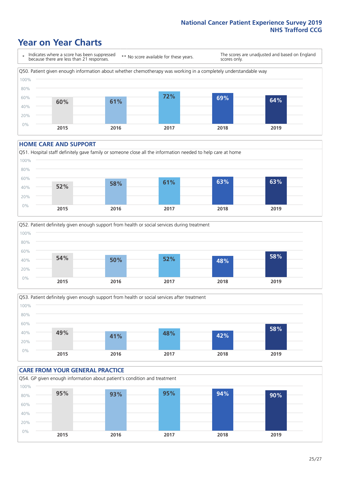### **Year on Year Charts**

\* Indicates where a score has been suppressed because there are less than 21 responses. \*\* No score available for these years. The scores are unadjusted and based on England scores only. Q50. Patient given enough information about whether chemotherapy was working in a completely understandable way 0% 20% 40% 60% 80% 100% **2015 2016 2017 2018 2019 60% 61% 72% 69% 64%**

#### **HOME CARE AND SUPPORT**







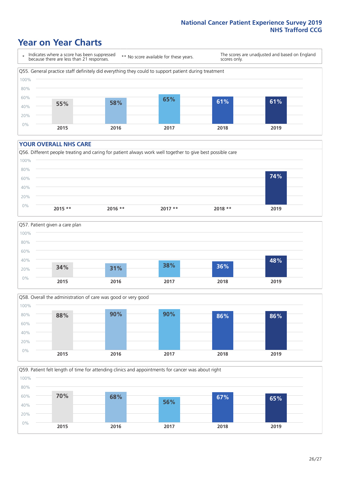### **Year on Year Charts**

\* Indicates where a score has been suppressed because there are less than 21 responses.

\*\* No score available for these years.

The scores are unadjusted and based on England scores only.



#### **YOUR OVERALL NHS CARE**







Q59. Patient felt length of time for attending clinics and appointments for cancer was about right 0% 20% 40% 60% 80% 100% **2015 2016 2017 2018 2019 70% 68% 56% 67% 65%**